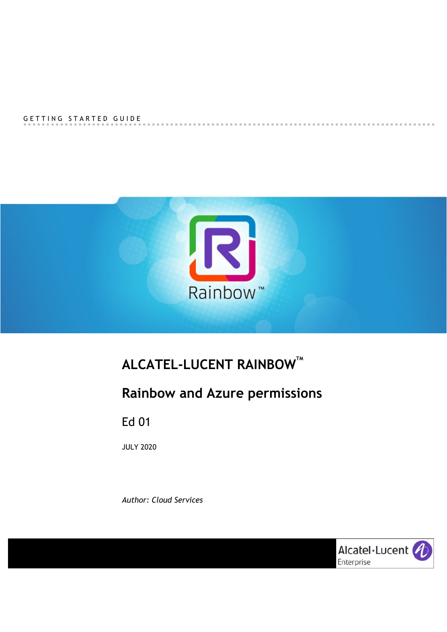#### GETTING STARTED GUIDE



# **ALCATEL-LUCENT RAINBOWTM**

# **Rainbow and Azure permissions**

Ed 01

JULY 2020

*Author: Cloud Services*



.....................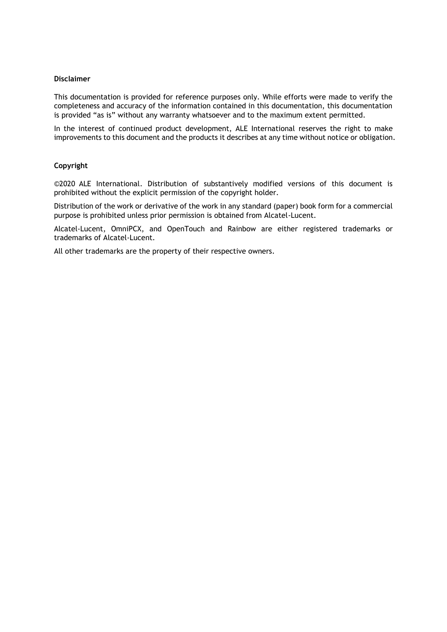#### **Disclaimer**

This documentation is provided for reference purposes only. While efforts were made to verify the completeness and accuracy of the information contained in this documentation, this documentation is provided "as is" without any warranty whatsoever and to the maximum extent permitted.

In the interest of continued product development, ALE International reserves the right to make improvements to this document and the products it describes at any time without notice or obligation.

#### **Copyright**

©2020 ALE International. Distribution of substantively modified versions of this document is prohibited without the explicit permission of the copyright holder.

Distribution of the work or derivative of the work in any standard (paper) book form for a commercial purpose is prohibited unless prior permission is obtained from Alcatel-Lucent.

Alcatel-Lucent, OmniPCX, and OpenTouch and Rainbow are either registered trademarks or trademarks of Alcatel-Lucent.

All other trademarks are the property of their respective owners.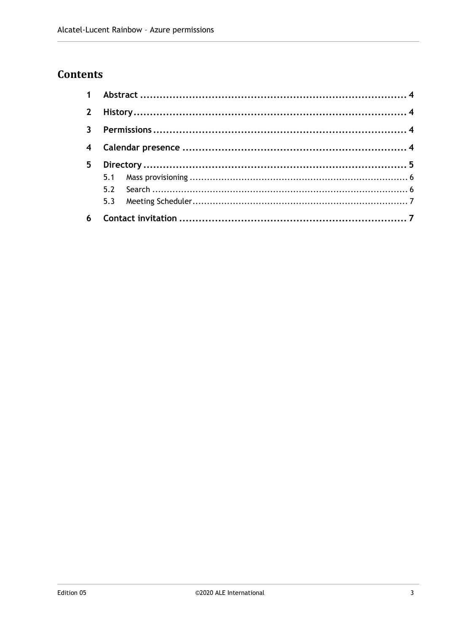### **Contents**

| 5 <sup>5</sup> |  |  |  |
|----------------|--|--|--|
|                |  |  |  |
|                |  |  |  |
|                |  |  |  |
|                |  |  |  |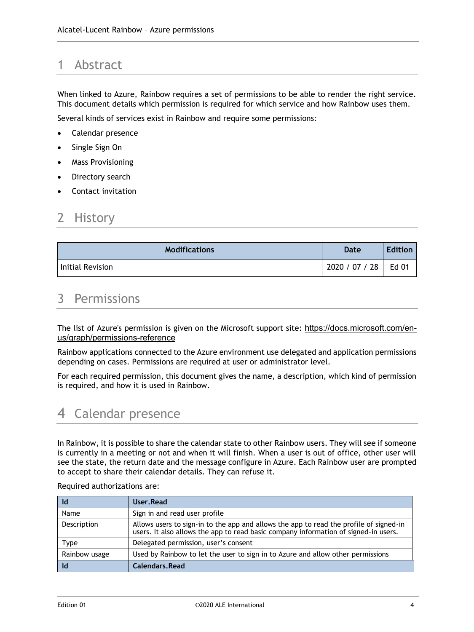# <span id="page-3-0"></span>1 Abstract

When linked to Azure, Rainbow requires a set of permissions to be able to render the right service. This document details which permission is required for which service and how Rainbow uses them.

Several kinds of services exist in Rainbow and require some permissions:

- Calendar presence
- Single Sign On
- Mass Provisioning
- Directory search
- Contact invitation

### <span id="page-3-1"></span>2 History

| <b>Modifications</b> | Date           | <b>Edition</b> |
|----------------------|----------------|----------------|
| Initial Revision     | 2020 / 07 / 28 | Ed 01          |

### <span id="page-3-2"></span>3 Permissions

The list of Azure's permission is given on the Microsoft support site: [https://docs.microsoft.com/en](https://docs.microsoft.com/en-us/graph/permissions-reference)[us/graph/permissions-reference](https://docs.microsoft.com/en-us/graph/permissions-reference)

Rainbow applications connected to the Azure environment use delegated and application permissions depending on cases. Permissions are required at user or administrator level.

For each required permission, this document gives the name, a description, which kind of permission is required, and how it is used in Rainbow.

# <span id="page-3-3"></span>4 Calendar presence

In Rainbow, it is possible to share the calendar state to other Rainbow users. They will see if someone is currently in a meeting or not and when it will finish. When a user is out of office, other user will see the state, the return date and the message configure in Azure. Each Rainbow user are prompted to accept to share their calendar details. They can refuse it.

| - Id          | User, Read                                                                                                                                                                    |
|---------------|-------------------------------------------------------------------------------------------------------------------------------------------------------------------------------|
| Name          | Sign in and read user profile                                                                                                                                                 |
| Description   | Allows users to sign-in to the app and allows the app to read the profile of signed-in<br>users. It also allows the app to read basic company information of signed-in users. |
| <b>Type</b>   | Delegated permission, user's consent                                                                                                                                          |
| Rainbow usage | Used by Rainbow to let the user to sign in to Azure and allow other permissions                                                                                               |
| -Id           | Calendars.Read                                                                                                                                                                |

Required authorizations are: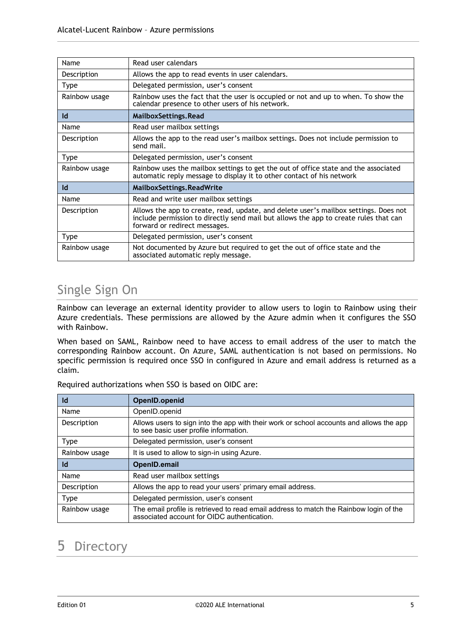| Name          | Read user calendars                                                                                                                                                                                           |
|---------------|---------------------------------------------------------------------------------------------------------------------------------------------------------------------------------------------------------------|
| Description   | Allows the app to read events in user calendars.                                                                                                                                                              |
| <b>Type</b>   | Delegated permission, user's consent                                                                                                                                                                          |
| Rainbow usage | Rainbow uses the fact that the user is occupied or not and up to when. To show the<br>calendar presence to other users of his network.                                                                        |
| Id            | MailboxSettings, Read                                                                                                                                                                                         |
| Name          | Read user mailbox settings                                                                                                                                                                                    |
| Description   | Allows the app to the read user's mailbox settings. Does not include permission to<br>send mail.                                                                                                              |
| <b>Type</b>   | Delegated permission, user's consent                                                                                                                                                                          |
| Rainbow usage | Rainbow uses the mailbox settings to get the out of office state and the associated<br>automatic reply message to display it to other contact of his network                                                  |
| Id            | MailboxSettings.ReadWrite                                                                                                                                                                                     |
| Name          | Read and write user mailbox settings                                                                                                                                                                          |
| Description   | Allows the app to create, read, update, and delete user's mailbox settings. Does not<br>include permission to directly send mail but allows the app to create rules that can<br>forward or redirect messages. |
| <b>Type</b>   | Delegated permission, user's consent                                                                                                                                                                          |
| Rainbow usage | Not documented by Azure but required to get the out of office state and the<br>associated automatic reply message.                                                                                            |

# Single Sign On

Rainbow can leverage an external identity provider to allow users to login to Rainbow using their Azure credentials. These permissions are allowed by the Azure admin when it configures the SSO with Rainbow.

When based on SAML, Rainbow need to have access to email address of the user to match the corresponding Rainbow account. On Azure, SAML authentication is not based on permissions. No specific permission is required once SSO in configured in Azure and email address is returned as a claim.

| OpenID.openid                                                                                                                         |  |  |
|---------------------------------------------------------------------------------------------------------------------------------------|--|--|
| OpenID.openid                                                                                                                         |  |  |
| Allows users to sign into the app with their work or school accounts and allows the app<br>to see basic user profile information.     |  |  |
| Delegated permission, user's consent                                                                                                  |  |  |
| It is used to allow to sign-in using Azure.                                                                                           |  |  |
| OpenID.email                                                                                                                          |  |  |
| Read user mailbox settings                                                                                                            |  |  |
| Allows the app to read your users' primary email address.                                                                             |  |  |
| Delegated permission, user's consent                                                                                                  |  |  |
| The email profile is retrieved to read email address to match the Rainbow login of the<br>associated account for OIDC authentication. |  |  |
|                                                                                                                                       |  |  |

Required authorizations when SSO is based on OIDC are:

# <span id="page-4-0"></span>5 Directory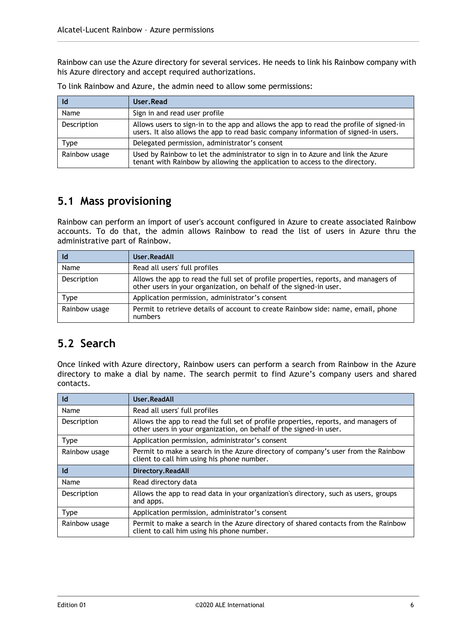Rainbow can use the Azure directory for several services. He needs to link his Rainbow company with his Azure directory and accept required authorizations.

|               | User, Read                                                                                                                                                                    |
|---------------|-------------------------------------------------------------------------------------------------------------------------------------------------------------------------------|
| Name          | Sign in and read user profile                                                                                                                                                 |
| Description   | Allows users to sign-in to the app and allows the app to read the profile of signed-in<br>users. It also allows the app to read basic company information of signed-in users. |
| Type          | Delegated permission, administrator's consent                                                                                                                                 |
| Rainbow usage | Used by Rainbow to let the administrator to sign in to Azure and link the Azure<br>tenant with Rainbow by allowing the application to access to the directory.                |

To link Rainbow and Azure, the admin need to allow some permissions:

### <span id="page-5-0"></span>**5.1 Mass provisioning**

Rainbow can perform an import of user's account configured in Azure to create associated Rainbow accounts. To do that, the admin allows Rainbow to read the list of users in Azure thru the administrative part of Rainbow.

|               | User.ReadAll                                                                                                                                              |
|---------------|-----------------------------------------------------------------------------------------------------------------------------------------------------------|
| Name          | Read all users' full profiles                                                                                                                             |
| Description   | Allows the app to read the full set of profile properties, reports, and managers of<br>other users in your organization, on behalf of the signed-in user. |
| Type          | Application permission, administrator's consent                                                                                                           |
| Rainbow usage | Permit to retrieve details of account to create Rainbow side: name, email, phone<br>numbers                                                               |

#### <span id="page-5-1"></span>**5.2 Search**

Once linked with Azure directory, Rainbow users can perform a search from Rainbow in the Azure directory to make a dial by name. The search permit to find Azure's company users and shared contacts.

| Id            | User, ReadAll                                                                                                                                             |
|---------------|-----------------------------------------------------------------------------------------------------------------------------------------------------------|
| Name          | Read all users' full profiles                                                                                                                             |
| Description   | Allows the app to read the full set of profile properties, reports, and managers of<br>other users in your organization, on behalf of the signed in user. |
| <b>Type</b>   | Application permission, administrator's consent                                                                                                           |
| Rainbow usage | Permit to make a search in the Azure directory of company's user from the Rainbow<br>client to call him using his phone number.                           |
| Id            | Directory.ReadAll                                                                                                                                         |
| Name          | Read directory data                                                                                                                                       |
| Description   | Allows the app to read data in your organization's directory, such as users, groups<br>and apps.                                                          |
| <b>Type</b>   | Application permission, administrator's consent                                                                                                           |
| Rainbow usage | Permit to make a search in the Azure directory of shared contacts from the Rainbow<br>client to call him using his phone number.                          |